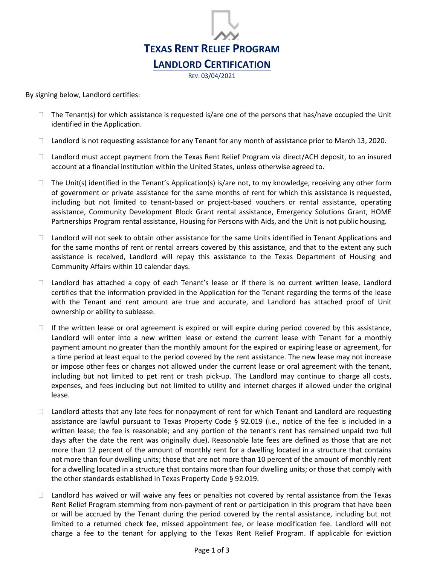

REV. 03/04/2021

By signing below, Landlord certifies:

- $\Box$  The Tenant(s) for which assistance is requested is/are one of the persons that has/have occupied the Unit identified in the Application.
- $\Box$  Landlord is not requesting assistance for any Tenant for any month of assistance prior to March 13, 2020.
- $\Box$  Landlord must accept payment from the Texas Rent Relief Program via direct/ACH deposit, to an insured account at a financial institution within the United States, unless otherwise agreed to.
- $\Box$  The Unit(s) identified in the Tenant's Application(s) is/are not, to my knowledge, receiving any other form of government or private assistance for the same months of rent for which this assistance is requested, including but not limited to tenant-based or project-based vouchers or rental assistance, operating assistance, Community Development Block Grant rental assistance, Emergency Solutions Grant, HOME Partnerships Program rental assistance, Housing for Persons with Aids, and the Unit is not public housing.
- $\Box$  Landlord will not seek to obtain other assistance for the same Units identified in Tenant Applications and for the same months of rent or rental arrears covered by this assistance, and that to the extent any such assistance is received, Landlord will repay this assistance to the Texas Department of Housing and Community Affairs within 10 calendar days.
- $\Box$  Landlord has attached a copy of each Tenant's lease or if there is no current written lease, Landlord certifies that the information provided in the Application for the Tenant regarding the terms of the lease with the Tenant and rent amount are true and accurate, and Landlord has attached proof of Unit ownership or ability to sublease.
- $\Box$  If the written lease or oral agreement is expired or will expire during period covered by this assistance, Landlord will enter into a new written lease or extend the current lease with Tenant for a monthly payment amount no greater than the monthly amount for the expired or expiring lease or agreement, for a time period at least equal to the period covered by the rent assistance. The new lease may not increase or impose other fees or charges not allowed under the current lease or oral agreement with the tenant, including but not limited to pet rent or trash pick-up. The Landlord may continue to charge all costs, expenses, and fees including but not limited to utility and internet charges if allowed under the original lease.
- $\Box$  Landlord attests that any late fees for nonpayment of rent for which Tenant and Landlord are requesting assistance are lawful pursuant to Texas Property Code § 92.019 (i.e., notice of the fee is included in a written lease; the fee is reasonable; and any portion of the tenant's rent has remained unpaid two full days after the date the rent was originally due). Reasonable late fees are defined as those that are not more than 12 percent of the amount of monthly rent for a dwelling located in a structure that contains not more than four dwelling units; those that are not more than 10 percent of the amount of monthly rent for a dwelling located in a structure that contains more than four dwelling units; or those that comply with the other standards established in Texas Property Code § 92.019.
- $\Box$  Landlord has waived or will waive any fees or penalties not covered by rental assistance from the Texas Rent Relief Program stemming from non-payment of rent or participation in this program that have been or will be accrued by the Tenant during the period covered by the rental assistance, including but not limited to a returned check fee, missed appointment fee, or lease modification fee. Landlord will not charge a fee to the tenant for applying to the Texas Rent Relief Program. If applicable for eviction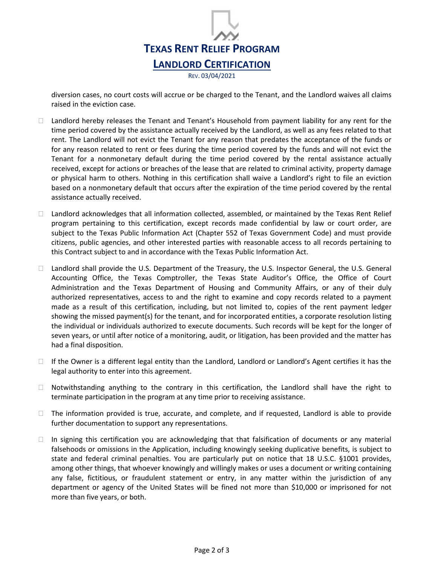

diversion cases, no court costs will accrue or be charged to the Tenant, and the Landlord waives all claims raised in the eviction case.

- $\Box$  Landlord hereby releases the Tenant and Tenant's Household from payment liability for any rent for the time period covered by the assistance actually received by the Landlord, as well as any fees related to that rent. The Landlord will not evict the Tenant for any reason that predates the acceptance of the funds or for any reason related to rent or fees during the time period covered by the funds and will not evict the Tenant for a nonmonetary default during the time period covered by the rental assistance actually received, except for actions or breaches of the lease that are related to criminal activity, property damage or physical harm to others. Nothing in this certification shall waive a Landlord's right to file an eviction based on a nonmonetary default that occurs after the expiration of the time period covered by the rental assistance actually received.
- $\Box$  Landlord acknowledges that all information collected, assembled, or maintained by the Texas Rent Relief program pertaining to this certification, except records made confidential by law or court order, are subject to the Texas Public Information Act (Chapter 552 of Texas Government Code) and must provide citizens, public agencies, and other interested parties with reasonable access to all records pertaining to this Contract subject to and in accordance with the Texas Public Information Act.
- □ Landlord shall provide the U.S. Department of the Treasury, the U.S. Inspector General, the U.S. General Accounting Office, the Texas Comptroller, the Texas State Auditor's Office, the Office of Court Administration and the Texas Department of Housing and Community Affairs, or any of their duly authorized representatives, access to and the right to examine and copy records related to a payment made as a result of this certification, including, but not limited to, copies of the rent payment ledger showing the missed payment(s) for the tenant, and for incorporated entities, a corporate resolution listing the individual or individuals authorized to execute documents. Such records will be kept for the longer of seven years, or until after notice of a monitoring, audit, or litigation, has been provided and the matter has had a final disposition.
- $\Box$  If the Owner is a different legal entity than the Landlord, Landlord or Landlord's Agent certifies it has the legal authority to enter into this agreement.
- $\Box$  Notwithstanding anything to the contrary in this certification, the Landlord shall have the right to terminate participation in the program at any time prior to receiving assistance.
- $\Box$  The information provided is true, accurate, and complete, and if requested, Landlord is able to provide further documentation to support any representations.
- $\Box$  In signing this certification you are acknowledging that that falsification of documents or any material falsehoods or omissions in the Application, including knowingly seeking duplicative benefits, is subject to state and federal criminal penalties. You are particularly put on notice that 18 U.S.C. §1001 provides, among other things, that whoever knowingly and willingly makes or uses a document or writing containing any false, fictitious, or fraudulent statement or entry, in any matter within the jurisdiction of any department or agency of the United States will be fined not more than \$10,000 or imprisoned for not more than five years, or both.